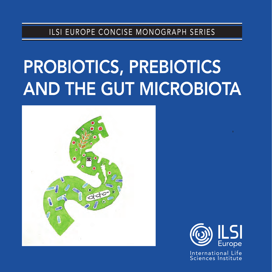ILSI EUROPE CONCISE MONOGRAPH SERIES

# PROBIOTICS, PREBIOTICS AND THE GUT MICROBIOTA



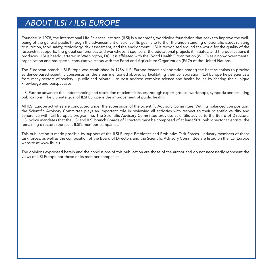# *ABOUT ILSI / ILSI EUROPE*

Founded in 1978, the International Life Sciences Institute (ILSI) is a nonprofit, worldwide foundation that seeks to improve the wellbeing of the general public through the advancement of science. Its goal is to further the understanding of scientific issues relating to nutrition, food safety, toxicology, risk assessment, and the environment. ILSI is recognised around the world for the quality of the research it supports, the global conferences and workshops it sponsors, the educational projects it initiates, and the publications it produces. ILSI is headquartered in Washington, DC. It is affiliated with the World Health Organization (WHO) as a non-governmental organisation and has special consultative status with the Food and Agriculture Organization (FAO) of the United Nations.

The European branch ILSI Europe was established in 1986. ILSI Europe fosters collaboration among the best scientists to provide evidence-based scientific consensus on the areas mentioned above. By facilitating their collaboration, ILSI Europe helps scientists from many sectors of society – public and private – to best address complex science and health issues by sharing their unique knowledge and perspectives.

ILSI Europe advances the understanding and resolution of scientific issues through expert groups, workshops, symposia and resulting publications. The ultimate goal of ILSI Europe is the improvement of public health.

All ILSI Europe activities are conducted under the supervision of the Scientific Advisory Committee. With its balanced composition, the Scientific Advisory Committee plays an important role in reviewing all activities with respect to their scientific validity and coherence with ILSI Europe's programme. The Scientific Advisory Committee provides scientific advice to the Board of Directors. ILSI policy mandates that the ILSI and ILSI branch Boards of Directors must be composed of at least 50% public sector scientists; the remaining directors represent ILSI's member companies.

This publication is made possible by support of the ILSI Europe Prebiotics and Probiotics Task Forces. Industry members of these task forces, as well as the composition of the Board of Directors and the Scientific Advisory Committee are listed on the ILSI Europe website at www.ilsi.eu.

The opinions expressed herein and the conclusions of this publication are those of the author and do not necessarily represent the views of ILSI Europe nor those of its member companies.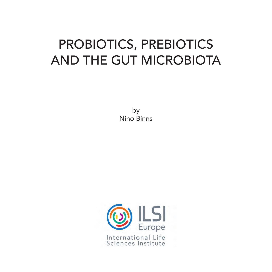# PROBIOTICS, PREBIOTICS AND THE GUT MICROBIOTA

by Nino Binns

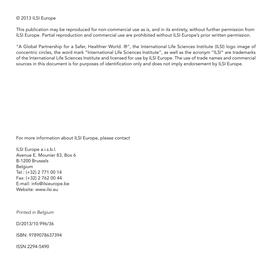#### © 2013 ILSI Europe

This publication may be reproduced for non-commercial use as is, and in its entirety, without further permission from ILSI Europe. Partial reproduction and commercial use are prohibited without ILSI Europe's prior written permission.

"A Global Partnership for a Safer, Healthier World. ®", the International Life Sciences Institute (ILSI) logo image of concentric circles, the word mark "International Life Sciences Institute", as well as the acronym "ILSI" are trademarks of the International Life Sciences Institute and licensed for use by ILSI Europe. The use of trade names and commercial sources in this document is for purposes of identification only and does not imply endorsement by ILSI Europe.

For more information about ILSI Europe, please contact

ILSI Europe a.i.s.b.l. Avenue E. Mounier 83, Box 6 B-1200 Brussels Belgium Tel.: (+32) 2 771 00 14 Fax: (+32) 2 762 00 44 E-mail: info@ilsieurope.be Website: www.ilsi.eu

*Printed in Belgium*

D/2013/10.996/36

ISBN: 9789078637394

ISSN 2294-5490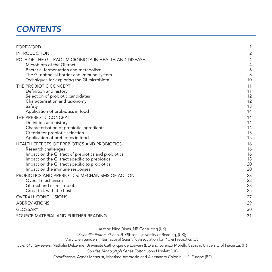# *CONTENTS*

| <b>FOREWORD</b>                                         | 1              |
|---------------------------------------------------------|----------------|
| <b>INTRODUCTION</b>                                     | $\overline{c}$ |
| ROLE OF THE GI TRACT MICROBIOTA IN HEALTH AND DISEASE   | 4              |
| Microbiota of the GI tract                              | 4              |
| Bacterial fermentation and metabolism                   | 6              |
| The GI epithelial barrier and immune system             | 8              |
| Techniques for exploring the GI microbiota              | 10             |
| THE PROBIOTIC CONCEPT                                   | 11             |
| Definition and history                                  | 11             |
| Selection of probiotic candidates                       | 12             |
| Characterisation and taxonomy                           | 12<br>13       |
| Safety<br>Application of probiotics in food             | 14             |
| THE PREBIOTIC CONCEPT                                   | 14             |
| Definition and history                                  | 14             |
| Characterisation of prebiotic ingredients               | 14             |
| Criteria for prebiotic selection                        | 15             |
| Application of prebiotics in food                       | 15             |
| HEALTH EFFECTS OF PREBIOTICS AND PROBIOTICS             | 16             |
| Research challenges                                     | 16             |
| Impact on the GI tract of prebiotics and probiotics     | 16             |
| Impact on the GI tract specific to prebiotics           | 18             |
| Impact on the GI tract specific to probiotics           | 20             |
| Impact on the immune responses                          | 20             |
| PROBIOTICS AND PREBIOTICS: MECHANISMS OF ACTION         | 23             |
| Overall mechanism                                       | 23             |
| GI tract and its microbiota<br>Cross-talk with the host | 23<br>25       |
|                                                         |                |
| <b>OVERALL CONCLUSIONS</b>                              | 27             |
| <b>ABBREVIATIONS</b>                                    | 29             |
| <b>GLOSSARY</b>                                         | 30             |
| SOURCE MATERIAL AND FURTHER READING                     | 31             |
|                                                         |                |

*Author:* Nino Binns, NB Consulting (UK)

*Scientific Editors:* Glenn. R. Gibson, University of Reading, (UK);

Mary Ellen Sanders, International Scientific Association for Pro & Prebiotics (US)

*Scientific Reviewers:* Nathalie Delzenne, Université Catholique de Louvain (BE) and Lorenzo Morelli, Catholic University of Piacenza, (IT)

*Concise Monograph Series Editor:* John Howlett (UK)

*Coordinators:* Agnès Méheust, Massimo Ambrosio and Alessandro Chiodini, ILSI Europe (BE)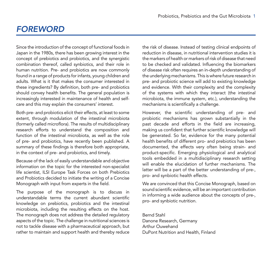# *FOREWORD*

Since the introduction of the concept of functional foods in Japan in the 1980s, there has been growing interest in the concept of prebiotics and probiotics, and the synergistic combination thereof, called synbiotics, and their role in human nutrition. Pre- and probiotics are now commonly found in a range of products for infants, young children and adults. What is it that makes the consumer interested in these ingredients? By definition, both pre- and probiotics should convey health benefits. The general population is increasingly interested in maintenance of health and selfcare and this may explain the consumers' interest.

Both pre- and probiotics elicit their effects, at least to some extent, through modulation of the intestinal microbiota (formerly called microflora). The results of multidisciplinary research efforts to understand the composition and function of the intestinal microbiota, as well as the role of pre- and probiotics, have recently been published. A summary of these findings is therefore both appropriate, in the context of pre- and probiotics, and timely.

Because of the lack of easily understandable and objective information on the topic for the interested non-specialist life scientist, ILSI Europe Task Forces on both Prebiotics and Probiotics decided to initiate the writing of a Concise Monograph with input from experts in the field.

The purpose of the monograph is to discuss in understandable terms the current abundant scientific knowledge on prebiotics, probiotics and the intestinal microbiota, including the resulting effects on the host. The monograph does not address the detailed regulatory aspects of the topic. The challenge in nutritional sciences is not to tackle disease with a pharmaceutical approach, but rather to maintain and support health and thereby reduce the risk of disease. Instead of testing clinical endpoints of reduction in disease, in nutritional intervention studies it is the markers of health or markers of risk of disease that need to be checked and validated. Influencing the biomarkers of disease risk often requires an in-depth understanding of the underlying mechanisms. This is where future research in pre- and probiotic science will add to existing knowledge and evidence. With their complexity and the complexity of the systems with which they interact (the intestinal microbiota, the immune system, etc.), understanding the mechanisms is scientifically a challenge.

However, the scientific understanding of pre- and probiotic mechanisms has grown substantially in the past decade and efforts in the field are increasing, making us confident that further scientific knowledge will be generated. So far, evidence for the many potential health benefits of different pro- and prebiotics has been documented, the effects very often being strain- and product-specific. Emerging physiological and analytical tools embedded in a multidisciplinary research setting will enable the elucidation of further mechanisms. The latter will be a part of the better understanding of pre-, pro- and synbiotic health effects.

We are convinced that this Concise Monograph, based on sound scientific evidence, will be an important contribution in informing a wide audience about the concepts of pre-, pro- and synbiotic nutrition.

Bernd Stahl Danone Research, Germany Arthur Ouwehand DuPont Nutrition and Health, Finland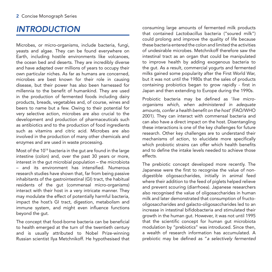# *INTRODUCTION*

Microbes, or micro-organisms, include bacteria, fungi, yeasts and algae. They can be found everywhere on Earth, including hostile environments like volcanoes, the ocean bed and deserts. They are incredibly diverse and have adapted over millions of years to occupy their own particular niches. As far as humans are concerned, microbes are best known for their role in causing disease, but their power has also been harnessed for millennia to the benefit of humankind. They are used in the production of fermented foods including dairy products, breads, vegetables and, of course, wines and beers to name but a few. Owing to their potential for very selective action, microbes are also crucial to the development and production of pharmaceuticals such as antibiotics and to the production of food ingredients such as vitamins and citric acid. Microbes are also involved in the production of many other chemicals and enzymes and are used in waste processing.

Most of the 1014 bacteria in the gut are found in the large intestine (colon) and, over the past 30 years or more, interest in the gut microbial population – the microbiota – and its environment has intensified. Numerous research studies have shown that, far from being passive inhabitants of the gastrointestinal (GI) tract, the habitual residents of the gut (commensal micro-organisms) interact with their host in a very intricate manner. They may modulate the effect of potentially harmful bacteria, impact the host's GI tract, digestion, metabolism and immune system, and might even influence functions beyond the gut.

The concept that food-borne bacteria can be beneficial to health emerged at the turn of the twentieth century and is usually attributed to Nobel Prize-winning Russian scientist Ilya Metchnikoff. He hypothesised that consuming large amounts of fermented milk products that contained *Lactobacillus* bacteria ("soured milk") could prolong and improve the quality of life because these bacteria entered the colon and limited the activities of undesirable microbes. Metchnikoff therefore saw the intestinal tract as an organ that could be manipulated to improve health by adding exogenous bacteria to the gut. As a result, commercial yogurts and fermented milks gained some popularity after the First World War, but it was not until the 1980s that the sales of products containing probiotics began to grow rapidly - first in Japan and then extending to Europe during the 1990s.

Probiotic bacteria may be defined as '*live microorganisms which, when administered in adequate amounts, confer a health benefit on the host*' (FAO/WHO 2001). They can interact with commensal bacteria and can also have a direct impact on the host. Disentangling these interactions is one of the key challenges for future research. Other key challenges are to understand their mechanisms of action, to elucidate more specifically which probiotic strains can offer which health benefits and to define the intake levels needed to achieve those effects.

The prebiotic concept developed more recently. The Japanese were the first to recognise the value of nondigestible oligosaccharides, initially in animal feed where their addition to the feed of piglets helped relieve and prevent scouring (diarrhoea). Japanese researchers also recognised the value of oligosaccharides in human milk and later demonstrated that consumption of fructooligosaccharides and galacto-oligosaccharides led to an increase in intestinal bifidobacteria and stimulated their growth in the human gut. However, it was not until 1995 that the scientific concept for human gut microbiota modulation by "prebiotics" was introduced. Since then, a wealth of research information has accumulated. A prebiotic may be defined as "*a selectively fermented*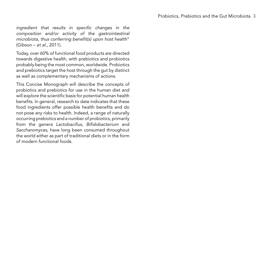*ingredient that results in specific changes in the composition and/or activity of the gastrointestinal microbiota, thus conferring benefit(s) upon host health*" (Gibson – *et al*., 2011).

Today, over 60% of functional food products are directed towards digestive health, with prebiotics and probiotics probably being the most common, worldwide. Probiotics and prebiotics target the host through the gut by distinct as well as complementary mechanisms of actions.

This Concise Monograph will describe the concepts of probiotics and prebiotics for use in the human diet and will explore the scientific basis for potential human health benefits. In general, research to date indicates that these food ingredients offer possible health benefits and do not pose any risks to health. Indeed, a range of naturally occurring prebiotics and a number of probiotics, primarily from the genera *Lactobacillus*, *Bifidobacterium* and *Saccharomyces*, have long been consumed throughout the world either as part of traditional diets or in the form of modern functional foods.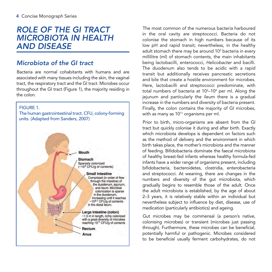# *ROLE OF THE GI TRACT MICROBIOTA IN HEALTH AND DISEASE*

# *Microbiota of the GI tract*

Bacteria are normal cohabitants with humans and are associated with many tissues including the skin, the vaginal tract, the respiratory tract and the GI tract. Microbes occur throughout the GI tract (Figure 1), the majority residing in the colon.



The most common of the numerous bacteria harboured in the oral cavity are streptococci. Bacteria do not colonise the stomach in high numbers because of its low pH and rapid transit; nevertheless, in the healthy adult stomach there may be around 10<sup>3</sup> bacteria in every millilitre (ml) of stomach contents, the main inhabitants being lactobacilli, enterococci, *Helicobacter* and bacilli. The duodenum also tends to be acidic with a rapid transit but additionally receives pancreatic secretions and bile that create a hostile environment for microbes. Here, lactobacilli and streptococci predominate, with total numbers of bacteria at  $10^2 - 10^4$  per ml. Along the jejunum and particularly the ileum there is a gradual increase in the numbers and diversity of bacteria present. Finally, the colon contains the majority of GI microbes, with as many as  $10^{11}$  organisms per ml.

Prior to birth, micro-organisms are absent from the GI tract but quickly colonise it during and after birth. Exactly which microbiota develops is dependent on factors such as the method of delivery and the environment in which birth takes place, the mother's microbiota and the manner of feeding. Bifidobacteria dominate the faecal microbiota of healthy breast-fed infants whereas healthy formula-fed infants have a wider range of organisms present, including bifidobacteria, bacteroidetes, clostridia, enterobacteria and streptococci. At weaning, there are changes in the numbers and diversity of the gut microbiota, which gradually begins to resemble those of the adult. Once the adult microbiota is established, by the age of about 2–3 years, it is relatively stable within an individual but nevertheless subject to influence by diet, disease, use of medication (particularly antibiotics) and ageing.

Gut microbes may be commensal (a person's native, colonising microbes) or transient (microbes just passing through). Furthermore, these microbes can be beneficial, potentially harmful or pathogenic. Microbes considered to be beneficial usually ferment carbohydrates, do not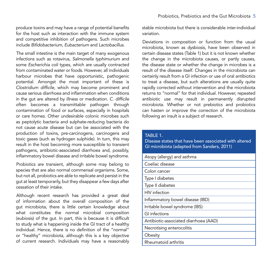produce toxins and may have a range of potential benefits for the host such as interaction with the immune system and competitive inhibition of pathogens. Such microbes include *Bifidobacterium, Eubacterium* and *Lactobacillus*.

The small intestine is the main target of many exogenous infections such as rotavirus, *Salmonella typhimurium* and some *Escherichia coli* types, which are usually contracted from contaminated water or foods. However, all individuals harbour microbes that have opportunistic, pathogenic potential. Amongst the most important of these is *Clostridium difficile*, which may become prominent and cause serious diarrhoea and inflammation when conditions in the gut are altered by illness or medication. *C. difficile*  often becomes a transmittable pathogen through contamination of food or surfaces, especially in hospitals or care homes. Other undesirable colonic microbes such as peptolytic bacteria and sulphate-reducing bacteria do not cause acute disease but can be associated with the production of toxins, pre-carcinogens, carcinogens and toxic gases (such as hydrogen sulphide). In turn, this may result in the host becoming more susceptible to transient pathogens, antibiotic-associated diarrhoea and, possibly, inflammatory bowel disease and irritable bowel syndrome.

Probiotics are transient, although some may belong to species that are also normal commensal organisms. Some, but not all, probiotics are able to replicate and persist in the gut at least temporarily, but they disappear a few days after cessation of their intake.

Although recent research has provided a great deal of information about the overall composition of the gut microbiota, there is little certain knowledge about what constitutes the normal microbial composition (eubiosis) of the gut. In part, this is because it is difficult to study what is happening inside the GI tract of a healthy individual. Hence, there is no definition of the "normal" or "healthy" microbiota, although this is a key objective of current research. Individuals may have a reasonably

stable microbiota but there is considerable inter-individual variation.

Deviations in composition or function from the usual microbiota, known as dysbiosis, have been observed in certain disease states (Table 1) but it is not known whether the change in the microbiota causes, or partly causes, the disease state or whether the change in microbes is a result of the disease itself. Changes in the microbiota can certainly result from a GI infection or use of oral antibiotics to treat a disease, but such alterations are usually quite rapidly corrected without intervention and the microbiota returns to "normal" for that individual. However, repeated antibiotic use may result in permanently disrupted microbiota. Whether or not prebiotics and probiotics can hasten or improve the correction of the microbiota following an insult is a subject of research.

#### $TARI F 1.$

Disease states that have been associated with altered GI microbiota (adapted from Sanders, 2011)

| Atopy (allergy) and asthma            |
|---------------------------------------|
| Coeliac disease                       |
| Colon cancer                          |
| Type I diabetes                       |
| Type II diabetes                      |
| <b>HIV</b> infection                  |
| Inflammatory bowel disease (IBD)      |
| Irritable bowel syndrome (IBS)        |
| GI infections                         |
| Antibiotic-associated diarrhoea (AAD) |
| Necrotising enterocolitis             |
| Obesity                               |
| Rheumatoid arthritis                  |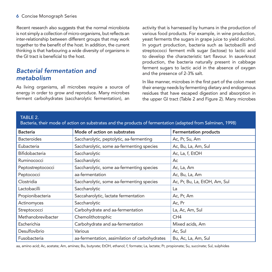#### 6 Concise Monograph Series

Recent research also suggests that the normal microbiota is not simply a collection of micro-organisms, but reflects an inter-relationship between different groups that may work together to the benefit of the host. In addition, the current thinking is that harbouring a wide diversity of organisms in the GI tract is beneficial to the host.

### *Bacterial fermentation and metabolism*

As living organisms, all microbes require a source of energy in order to grow and reproduce. Many microbes ferment carbohydrates (saccharolytic fermentation), an

activity that is harnessed by humans in the production of various food products. For example, in wine production, yeast ferments the sugars in grape juice to yield alcohol. In yogurt production, bacteria such as lactobacilli and streptococci ferment milk sugar (lactose) to lactic acid to develop the characteristic tart flavour. In sauerkraut production, the bacteria naturally present in cabbage ferment sugars to lactic acid in the absence of oxygen and the presence of 2-3% salt.

In like manner, microbes in the first part of the colon meet their energy needs by fermenting dietary and endogenous residues that have escaped digestion and absorption in the upper GI tract (Table 2 and Figure 2). Many microbes

#### TABLE 2.

Bacteria, their mode of action on substrates and the products of fermentation (adapted from Salminen, 1998)

| <b>Bacteria</b>    | Mode of action on substrates                   | <b>Fermentation products</b>  |
|--------------------|------------------------------------------------|-------------------------------|
| <b>Bacteroides</b> | Saccharolytic, peptolytic, aa-fermenting       | Ac, Pr, Su, Am                |
| Eubacteria         | Saccharolytic, some aa-fermenting species      | Ac, Bu, La, Am, Sul           |
| Bifidobacteria     | Saccharolytic                                  | Ac, La, f, EtOH               |
| Ruminococci        | Saccharolytic                                  | Ac                            |
| Peptostreptococci  | Saccharolytic, some aa-fermenting species      | Ac, La, Am                    |
| Peptococci         | aa-fermentation                                | Ac, Bu, La, Am                |
| Clostridia         | Saccharolytic, some aa-fermenting species      | Ac, Pr, Bu, La, EtOH, Am, Sul |
| Lactobacilli       | Saccharolytic                                  | La                            |
| Propionibacteria   | Saccaharolytic, lactate fermentation           | Ac, Pr, Am                    |
| Actinomyces        | Saccharolytic                                  | Ac, Pr                        |
| Streptococci       | Carbohydrate and aa-fermentation               | La, Ac, Am, Sul               |
| Methanobrevibacter | Chemolithotrophic                              | CH <sub>4</sub>               |
| Escherichia        | Carbohydrate and aa-fermentation               | Mixed acids, Am               |
| Desulfovibrio      | Various                                        | Ac, Sul                       |
| Fusobacteria       | aa-fermentation, assimilation of carbohydrates | Bu, Ac, La, Am, Sul           |

aa, amino acid; Ac, acetate; Am, amines; Bu, butyrate; EtOH, ethanol; f, formate; La, lactate; Pr, propionate; Su, succinate; Sul, sulphides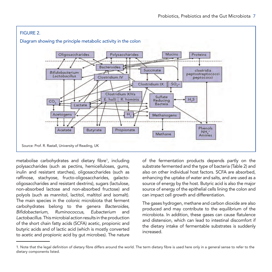

metabolise carbohydrates and dietary fibre<sup>1</sup>, including polysaccharides (such as pectins, hemicelluloses, gums, inulin and resistant starches), oligosaccharides (such as raffinose, stachyose, fructo-oligosaccharides, galactooligosaccharides and resistant dextrins), sugars (lactulose, non-absorbed lactose and non-absorbed fructose) and polyols (such as mannitol, lactitol, maltitol and isomalt). The main species in the colonic microbiota that ferment carbohydrates belong to the genera *Bacteroides, Bifidobacterium, Ruminococcus, Eubacterium* and *Lactobacillus*. This microbial action results in the production of the short chain fatty acids (SCFA) acetic, propionic and butyric acids and of lactic acid (which is mostly converted to acetic and propionic acid by gut microbes). The nature

of the fermentation products depends partly on the substrate fermented and the type of bacteria (Table 2) and also on other individual host factors. SCFA are absorbed, enhancing the uptake of water and salts, and are used as a source of energy by the host. Butyric acid is also the major source of energy of the epithelial cells lining the colon and can impact cell growth and differentiation.

The gases hydrogen, methane and carbon dioxide are also produced and may contribute to the equilibrium of the microbiota. In addition, these gases can cause flatulence and distension, which can lead to intestinal discomfort if the dietary intake of fermentable substrates is suddenly increased.

<sup>1.</sup> Note that the legal definition of dietary fibre differs around the world. The term dietary fibre is used here only in a general sense to refer to the dietary components listed.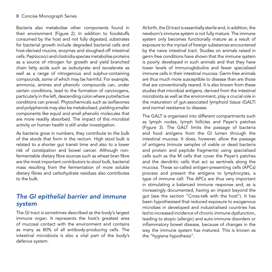#### 8 Concise Monograph Series

Bacteria also metabolise other components found in their environment (Figure 2). In addition to foodstuffs consumed by the host and not fully digested, substrates for bacterial growth include degraded bacterial cells and host-derived mucins, enzymes and sloughed-off intestinal cells. Peptococci and clostridia species metabolise proteins as a source of nitrogen for growth and yield branched chain fatty acids such as isobutyrate and isovalerate as well as a range of nitrogenous and sulphur-containing compounds, some of which may be harmful. For example, ammonia, amines and phenolic compounds can, under certain conditions, lead to the formation of carcinogens, particularly in the left, descending colon where putrefactive conditions can prevail. Phytochemicals such as isoflavones and polyphenols may also be metabolised, yielding smaller components like equol and small phenolic molecules that are more readily absorbed. The impact of this microbial activity on human health is still under investigation.

As bacteria grow in numbers, they contribute to the bulk of the stools that form in the rectum. High stool bulk is related to a shorter gut transit time and also to a lower risk of constipation and bowel cancer. Although nonfermentable dietary fibre sources such as wheat bran fibre are the most important contributors to stool bulk, bacterial mass resulting from the fermentation of more soluble dietary fibres and carbohydrate residues also contributes to the bulk.

### *The GI epithelial barrier and immune system*

The GI tract is sometimes described as the body's largest immune organ. It represents the host's greatest area of mucosal contact with the environment and contains as many as 80% of all antibody-producing cells. The intestinal microbiota is also a vital part of the body's defence system.

At birth, the GI tract is essentially sterile and, in addition, the newborn's immune system is not fully mature. The immune system only becomes functionally mature as a result of exposure to the myriad of foreign substances encountered by the naive intestinal tract. Studies on animals raised in germ-free conditions have shown that the immune system is poorly developed in such animals and that they have lower levels of immunoglobulins and fewer specialised immune cells in their intestinal mucosa. Germ-free animals are thus much more susceptible to disease than are those that are conventionally reared. It is also known from these studies that microbial antigens, derived from the intestinal microbiota as well as the environment, play a crucial role in the maturation of gut-associated lymphoid tissue (GALT) and normal resistance to disease.

The GALT is organised into different compartments such as lymph nodes, lymph follicles and Peyer's patches (Figure 3). The GALT limits the passage of bacteria and food antigens from the GI lumen through the intestinal mucosa. It does, however, allow the passage of antigens (minute samples of viable or dead bacteria and protein and peptide fragments) using specialised cells such as the M cells that cover the Peyer's patches and the dendritic cells that act as sentinels along the mucosa. These so-called antigen-presenting cells (APCs) process and present the antigens to lymphocytes, a type of immune cell. The APCs are thus very important in stimulating a balanced immune response and, as is increasingly documented, having an impact beyond the gut (see the section "Cross-talk with the host"). It has been hypothesised that reduced exposure to exogenous microbes in developed and industrialised countries has led to increased incidence of chronic immune dysfunction, leading to atopic (allergic) and auto-immune disorders or inflammatory bowel disease, because of changes in the way the immune system has matured. This is known as the "hygiene hypothesis".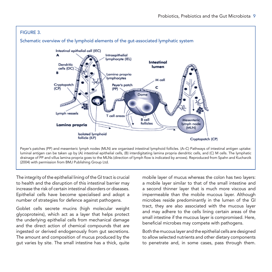

Peyer's patches (PP) and mesenteric lymph nodes (MLN) are organised intestinal lymphoid follicles. (A–C) Pathways of intestinal antigen uptake: luminal antigen can be taken up by (A) intestinal epithelial cells, (B) interdigitating lamina propria dendritic cells, and (C) M cells. The lymphatic drainage of PP and villus lamina propria goes to the MLNs (direction of lymph flow is indicated by arrows). Reproduced from Spahn and Kucharzik (2004) with permission from BMJ Publishing Group Ltd.

The integrity of the epithelial lining of the GI tract is crucial to health and the disruption of this intestinal barrier may increase the risk of certain intestinal disorders or diseases. Epithelial cells have become specialised and adopt a number of strategies for defence against pathogens.

Goblet cells secrete mucins (high molecular weight glycoproteins), which act as a layer that helps protect the underlying epithelial cells from mechanical damage and the direct action of chemical compounds that are ingested or derived endogenously from gut secretions. The amount and composition of mucus produced by the gut varies by site. The small intestine has a thick, quite

mobile layer of mucus whereas the colon has two layers: a mobile layer similar to that of the small intestine and a second thinner layer that is much more viscous and impermeable than the mobile mucous layer. Although microbes reside predominantly in the lumen of the GI tract, they are also associated with the mucous layer and may adhere to the cells lining certain areas of the small intestine if the mucous layer is compromised. Here, beneficial microbes may compete with pathogens.

Both the mucous layer and the epithelial cells are designed to allow selected nutrients and other dietary components to penetrate and, in some cases, pass through them.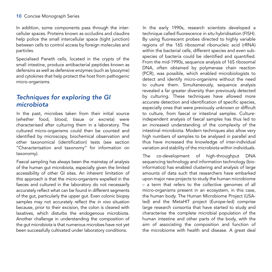In addition, some components pass through the intercellular spaces. Proteins known as occludins and claudins help police the small intercellular space (tight junction) between cells to control access by foreign molecules and particles.

Specialised Paneth cells, located in the crypts of the small intestine, produce antibacterial peptides known as defensins as well as defensive enzymes (such as lysozyme) and cytokines that help protect the host from pathogenic micro-organisms.

# *Techniques for exploring the GI microbiota*

In the past, microbes taken from their initial source (whether food, blood, tissue or excreta) were characterised after culturing them in a laboratory. The cultured micro-organisms could then be counted and identified by microscopy, biochemical observation and other taxonomical (identification) tests (see section "Characterisation and taxonomy" for information on taxonomy).

Faecal sampling has always been the mainstay of analysis of the human gut microbiota, especially given the limited accessibility of other GI sites. An inherent limitation of this approach is that the micro-organisms expelled in the faeces and cultured in the laboratory do not necessarily accurately reflect what can be found in different segments of the gut, particularly the upper gut. Even colonic biopsy samples may not accurately reflect the *in vivo* situation because, prior to their excision, the colon is cleared with laxatives, which disturbs the endogenous microbiota. Another challenge in understanding the composition of the gut microbiota is that numerous microbes have not yet been successfully cultivated under laboratory conditions.

In the early 1990s, research scientists developed a technique called fluorescence *in situ* hybridisation (FISH). By using fluorescent probes directed to highly variable regions of the 16S ribosomal ribonucleic acid (rRNA) within the bacterial cells, different species and even subspecies of bacteria could be identified and quantified. From the mid-1990s, sequence analysis of 16S ribosomal DNA, often obtained by polymerase chain reaction (PCR), was possible, which enabled microbiologists to detect and identify micro-organisms without the need to culture them. Simultaneously, sequence analysis revealed a far greater diversity than previously detected by culturing. These techniques have allowed more accurate detection and identification of specific species, especially ones that were previously unknown or difficult to culture, from faecal or intestinal samples. Cultureindependent analysis of faecal samples has thus led to an increased understanding of the complexity of the intestinal microbiota. Modern techniques also allow very high numbers of samples to be analysed in parallel and thus have increased the knowledge of inter-individual variation and stability of the microbiota within individuals.

The co-development of high-throughput DNA sequencing technology and information technology (bioinformatics) has enabled clustering and analysis of large amounts of data such that researchers have embarked upon major new projects to study the human microbiome – a term that refers to the collective genomes of all micro-organisms present in an ecosystem, in this case, the human body. The Human Microbiome Project (USAled) and the MetaHIT project (Europe-led) comprise large research consortia that have started to study and characterise the complete microbial population of the human intestine and other parts of the body, with the aim of associating the composition and function of the microbiome with health and disease. A great deal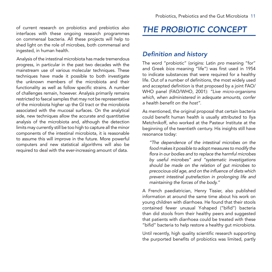of current research on probiotics and prebiotics also interfaces with these ongoing research programmes on commensal bacteria. All these projects will help to shed light on the role of microbes, both commensal and ingested, in human health.

Analysis of the intestinal microbiota has made tremendous progress, in particular in the past two decades with the mainstream use of various molecular techniques. These techniques have made it possible to both investigate the unknown members of the microbiota and their functionality as well as follow specific strains. A number of challenges remain, however. Analysis primarily remains restricted to faecal samples that may not be representative of the microbiota higher up the GI tract or the microbiota associated with the mucosal surfaces. On the analytical side, new techniques allow the accurate and quantitative analysis of the microbiota and, although the detection limits may currently still be too high to capture all the minor components of the intestinal microbiota, it is reasonable to assume this will improve in the future. More powerful computers and new statistical algorithms will also be required to deal with the ever-increasing amount of data.

# *THE PROBIOTIC CONCEPT*

### *Definition and history*

The word "probiotic" (origins: Latin *pro* meaning "for" and Greek *bios* meaning "life") was first used in 1954 to indicate substances that were required for a healthy life. Out of a number of definitions, the most widely used and accepted definition is that proposed by a joint FAO/ WHO panel (FAO/WHO, 2001): *"Live micro-organisms which, when administered in adequate amounts, confer a health benefit on the host"*.

As mentioned, the original proposal that certain bacteria could benefit human health is usually attributed to Ilya Metchnikoff, who worked at the Pasteur Institute at the beginning of the twentieth century. His insights still have resonance today:

*"The dependence of the intestinal microbes on the food makes it possible to adopt measures to modify the flora in our bodies and to replace the harmful microbes by useful microbes" and "systematic investigations should be made on the relation of gut microbes to precocious old age, and on the influence of diets which prevent intestinal putrefaction in prolonging life and maintaining the forces of the body."* 

A French paediatrician, Henry Tissier, also published information at around the same time about his work on young children with diarrhoea. He found that their stools contained fewer unusual Y-shaped ("bifid") bacteria than did stools from their healthy peers and suggested that patients with diarrhoea could be treated with these "bifid" bacteria to help restore a healthy gut microbiota.

Until recently, high quality scientific research supporting the purported benefits of probiotics was limited, partly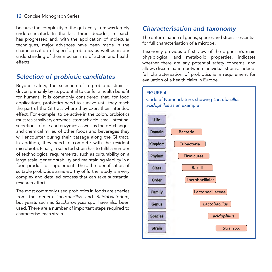#### 12 Concise Monograph Series

because the complexity of the gut ecosystem was largely underestimated. In the last three decades, research has progressed and, with the application of molecular techniques, major advances have been made in the characterisation of specific probiotics as well as in our understanding of their mechanisms of action and health effects.

### *Selection of probiotic candidates*

Beyond safety, the selection of a probiotic strain is driven primarily by its potential to confer a health benefit for humans. It is commonly considered that, for food applications, probiotics need to survive until they reach the part of the GI tract where they exert their intended effect. For example, to be active in the colon, probiotics must resist salivary enzymes, stomach acid, small intestinal secretions of bile and enzymes as well as the pH changes and chemical milieu of other foods and beverages they will encounter during their passage along the GI tract. In addition, they need to compete with the resident microbiota. Finally, a selected strain has to fulfil a number of technological requirements, such as culturability on a large scale, genetic stability and maintaining viability in a food product or supplement. Thus, the identification of suitable probiotic strains worthy of further study is a very complex and detailed process that can take substantial research effort.

The most commonly used probiotics in foods are species from the genera *Lactobacillus* and *Bifidobacterium*, but yeasts such as *Saccharomyces* spp. have also been used. There are a number of important steps required to characterise each strain.

### *Characterisation and taxonomy*

The determination of genus, species and strain is essential for full characterisation of a microbe.

Taxonomy provides a first view of the organism's main physiological and metabolic properties, indicates whether there are any potential safety concerns, and allows discrimination between individual strains. Indeed, full characterisation of probiotics is a requirement for evaluation of a health claim in Europe.

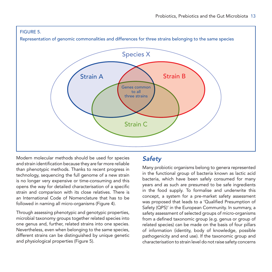#### FIGURE 5.

Representation of genomic commonalities and differences for three strains belonging to the same species



Modern molecular methods should be used for species and strain identification because they are far more reliable than phenotypic methods. Thanks to recent progress in technology, sequencing the full genome of a new strain is no longer very expensive or time-consuming and this opens the way for detailed characterisation of a specific strain and comparison with its close relatives. There is an International Code of Nomenclature that has to be followed in naming all micro-organisms (Figure 4).

Through assessing phenotypic and genotypic properties, microbial taxonomy groups together related species into one genus and, further, related strains into one species. Nevertheless, even when belonging to the same species, different strains can be distinguished by unique genetic and physiological properties (Figure 5).

# *Safety*

Many probiotic organisms belong to genera represented in the functional group of bacteria known as lactic acid bacteria, which have been safely consumed for many years and as such are presumed to be safe ingredients in the food supply. To formalise and underwrite this concept, a system for a pre-market safety assessment was proposed that leads to a 'Qualified Presumption of Safety (QPS)' in the European Community. In summary, a safety assessment of selected groups of micro-organisms from a defined taxonomic group (e.g. genus or group of related species) can be made on the basis of four pillars of information (identity, body of knowledge, possible pathogenicity and end use). If the taxonomic group and characterisation to strain level do not raise safety concerns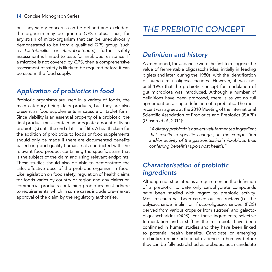#### 14 Concise Monograph Series

or if any safety concerns can be defined and excluded, the organism may be granted QPS status. Thus, for any strain of micro-organism that can be unequivocally demonstrated to be from a qualified QPS group (such as *Lactobacillus* or *Bifidobacterium*), further safety assessment is limited to tests for antibiotic resistance. If a microbe is not covered by QPS, then a comprehensive assessment of safety is likely to be required before it can be used in the food supply.

# *Application of probiotics in food*

Probiotic organisms are used in a variety of foods, the main category being dairy products, but they are also present as food supplements in capsule or tablet form. Since viability is an essential property of a probiotic, the final product must contain an adequate amount of living probiotic(s) until the end of its shelf life. A health claim for the addition of probiotics to foods or food supplements should only be made if there are documented benefits based on good quality human trials conducted with the relevant food product containing the specific strain that is the subject of the claim and using relevant endpoints. These studies should also be able to demonstrate the safe, effective dose of the probiotic organism in food. Like legislation on food safety, regulation of health claims for foods varies by country or region and any claims on commercial products containing probiotics must adhere to requirements, which in some cases include pre-market approval of the claim by the regulatory authorities.

# *THE PREBIOTIC CONCEPT*

### *Definition and history*

As mentioned, the Japanese were the first to recognise the value of fermentable oligosaccharides, initially in feeding piglets and later, during the 1980s, with the identification of human milk oligosaccharides. However, it was not until 1995 that the prebiotic concept for modulation of gut microbiota was introduced. Although a number of definitions have been proposed, there is as yet no full agreement on a single definition of a prebiotic. The most recent was agreed at the 2010 Meeting of the International Scientific Association of Probiotics and Prebiotics (ISAPP) (Gibson *et al*., 2011):

*"A dietary prebiotic is a selectively fermented ingredient that results in specific changes, in the composition and/or activity of the gastrointestinal microbiota, thus conferring benefit(s) upon host health."*

### *Characterisation of prebiotic ingredients*

Although not stipulated as a requirement in the definition of a prebiotic, to date only carbohydrate compounds have been studied with regard to prebiotic activity. Most research has been carried out on fructans (i.e. the polysaccharide inulin or fructo-oligosaccharides (FOS) derived from various crops or from sucrose) and galactooligosaccharides (GOS). For these ingredients, selective fermentation and a shift in the microbiota have been confirmed in human studies and they have been linked to potential health benefits. Candidate or emerging prebiotics require additional evidence in humans before they can be fully established as prebiotic. Such candidate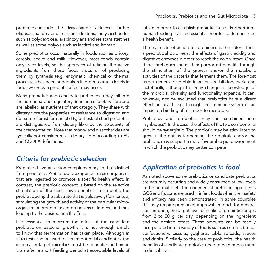prebiotics include the disaccharide lactulose, further oligosaccharides and resistant dextrins, polysaccharides such as polydextrose, arabinoxylans and resistant starches as well as some polyols such as lactitol and isomalt.

Some prebiotics occur naturally in foods such as chicory, cereals, agave and milk. However, most foods contain only trace levels, so the approach of refining the active ingredients from these foods crops or of producing them by synthesis (e.g. enzymatic, chemical or thermal processes) has been undertaken in order to attain levels in foods whereby a prebiotic effect may occur.

Many prebiotics and candidate prebiotics today fall into the nutritional and regulatory definition of dietary fibre and are labelled as nutrients of that category. They share with dietary fibre the properties of resistance to digestion and (for some fibres) fermentability, but established prebiotics are distinguished from dietary fibre by the selectivity of their fermentation. Note that mono- and disaccharides are typically not considered as dietary fibre according to EU and CODEX definitions.

# *Criteria for prebiotic selection*

Prebiotics have an action complementary to, but distinct from, probiotics. Probiotics are exogenous micro-organisms that are ingested to promote a specific health effect. In contrast, the prebiotic concept is based on the selective stimulation of the host's own beneficial microbiota, the prebiotic being the substrate that is (selectively) fermented, stimulating the growth and activity of the particular microorganism or group of micro-organisms of interest and thus leading to the desired health effect.

It is essential to measure the effect of the candidate prebiotic on bacterial growth; it is not enough simply to know that fermentation has taken place. Although *in vitro* tests can be used to screen potential candidates, the increase in target microbes must be quantified in human trials after a short feeding period at acceptable levels of intake in order to establish prebiotic status. Furthermore, human feeding trials are essential in order to demonstrate a health benefit.

The main site of action for prebiotics is the colon. Thus, a prebiotic should resist the effects of gastric acidity and digestive enzymes in order to reach the colon intact. Once there, prebiotics confer their purported benefits through the stimulation of the growth and/or the metabolic activities of the bacteria that ferment them. The foremost target genera for prebiotic action are bifidobacteria and lactobacilli, although this may change as knowledge of the microbial diversity and functionality expands. It can, however, not be excluded that prebiotics have a direct effect on health e.g. through the immune system or an impact on binding of microbes to receptors.

Prebiotics and probiotics may be combined into "synbiotics". In this case, the effects of the two components should be synergistic. The probiotic may be stimulated to grow in the gut by fermenting the prebiotic and/or the prebiotic may support a more favourable gut environment in which the probiotic may better compete.

# *Application of prebiotics in food*

As noted above some prebiotics or candidate prebiotics are naturally occurring and widely consumed at low levels in the normal diet. The commercial prebiotic ingredients GOS and fructans are used in infant foods when their safety and efficacy has been demonstrated; in some countries this may require premarket approval. In foods for general consumption, the target level of intake of prebiotic ranges from 2 to 20 g per day, depending on the ingredient and the desired effect. These amounts can be readily incorporated into a variety of foods such as cereals, bread, confectionery, biscuits, yoghurts, table spreads, sauces and drinks. Similarly to the case of probiotics, the health benefits of candidate prebiotics need to be demonstrated in clinical trials.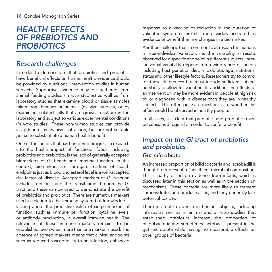# *HEALTH EFFECTS OF PREBIOTICS AND PROBIOTICS*

# *Research challenges*

In order to demonstrate that probiotics and prebiotics have beneficial effects on human health, evidence should be provided by nutritional intervention studies in human subjects. Supportive evidence may be gathered from animal feeding studies (*in vivo* studies) as well as from laboratory studies that examine blood or tissue samples taken from humans or animals (ex vivo studies), or by examining isolated cells that are grown in culture in the laboratory and subject to various experimental conditions (*in vitro* studies). These non-human studies can provide insights into mechanisms of action, but are not suitable *per se* to substantiate a human health benefit.

One of the factors that has hampered progress in research into the health impact of functional foods, including probiotics and prebiotics, is the lack of generally accepted biomarkers of GI health and immune function. In this context, biomarkers are surrogate markers of health endpoints just as blood cholesterol level is a well-accepted risk factor of disease. Accepted markers of GI function include stool bulk and the transit time through the GI tract, and these can be used to demonstrate the benefit of prebiotics and probiotics. There are numerous markers used in relation to the immune system but knowledge is lacking about the predictive value of single markers of function, such as immune cell function, cytokine levels, or antibody production, in overall immune health. The relevance of these immune markers remains to be established, even when more than one marker is used. The absence of agreed markers means that clinical endpoints such as reduced susceptibility to an infection, enhanced response to a vaccine or reduction in the duration of validated symptoms are still more widely accepted as evidence of benefit than are changes in a biomarker.

Another challenge that is common to all research in humans is inter-individual variation, i.e. the variability in results observed for a specific endpoint in different subjects. Interindividual variability depends on a wide range of factors including host genetics, diet, microbiota, age, nutritional status and other lifestyle factors. Researchers try to control for these differences but must include sufficient subject numbers to allow for variation. In addition, the effects of an intervention may be more evident in people at high risk of, or diagnosed with, a disease than they are in healthy subjects. This often poses a question as to whether the effect would be observed in healthy people.

In all cases, it is clear that prebiotics and probiotics must be consumed regularly in order to confer a benefit.

# *Impact on the GI tract of prebiotics and probiotics*

#### *Gut microbiota*

An increased proportion of bifidobacteria and lactobacilli is thought to represent a "healthier" microbial composition. This is partly based on evidence from infants, which is discussed later in this section as well as in the section on mechanisms. These bacteria are more likely to ferment carbohydrates and produce acids, and they generally lack potential toxicity.

There is ample evidence in human subjects, including infants, as well as in animal and *in vitro* studies that established prebiotics increase the proportion of bifidobacteria and sometimes lactobacilli present in the gut microbiota while having no measurable effects on other groups of bacteria.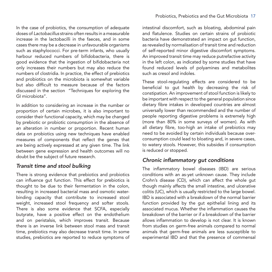In the case of probiotics, the consumption of adequate doses of *Lactobacillus* strains often results in a measurable increase in the lactobacilli in the faeces, and in some cases there may be a decrease in unfavourable organisms such as staphylococci. For pre-term infants, who usually harbour reduced numbers of bifidobacteria, there is good evidence that the ingestion of bifidobacteria not only increases their numbers but may also reduce the numbers of clostridia. In practice, the effect of prebiotics and probiotics on the microbiota is somewhat variable but also difficult to measure because of the factors discussed in the section "Techniques for exploring the GI microbiota".

In addition to considering an increase in the number or proportion of certain microbes, it is also important to consider their functional capacity, which may be changed by prebiotic or probiotic consumption in the absence of an alteration in number or proportion. Recent human data on probiotics using new techniques have enabled measures of components that reflect the genes that are being actively expressed at any given time. The link between gene expression and health outcomes will no doubt be the subject of future research.

#### *Transit time and stool bulking*

There is strong evidence that prebiotics and probiotics can influence gut function. This effect for prebiotics is thought to be due to their fermentation in the colon, resulting in increased bacterial mass and osmotic waterbinding capacity that contribute to increased stool weight, increased stool frequency and softer stools. There is also some evidence that SCFA, especially butyrate, have a positive effect on the endothelium and on peristalsis, which improves transit. Because there is an inverse link between stool mass and transit time, prebiotics may also decrease transit time. In some studies, prebiotics are reported to reduce symptoms of intestinal discomfort, such as bloating, abdominal pain and flatulence. Studies on certain strains of probiotic bacteria have demonstrated an impact on gut function, as revealed by normalisation of transit time and reduction of self-reported minor digestive discomfort symptoms. An improved transit time may reduce putrefactive activity in the left colon, as indicated by some studies that have found reduced levels of polyamines and metabolites such as cresol and indoles.

These stool-regulating effects are considered to be beneficial to gut health by decreasing the risk of constipation. An improvement of stool function is likely to be important with respect to the general population since dietary fibre intakes in developed countries are almost universally lower than recommended and the number of people reporting digestive problems is extremely high (more than 80% in some surveys of women). As with all dietary fibre, too-high an intake of prebiotics may need to be avoided by certain individuals because overconsumption could lead to bloating and, in severe cases, to watery stools. However, this subsides if consumption is reduced or stopped.

#### *Chronic inflammatory gut conditions*

The inflammatory bowel diseases (IBD) are serious conditions with an as-yet unknown cause. They include Crohn's disease (CD), which can affect the whole gut though mainly affects the small intestine, and ulcerative colitis (UC), which is usually restricted to the large bowel. IBD is associated with a breakdown of the normal barrier function provided by the gut epithelial lining and its associated mucus. Whether the inflammation causes the breakdown of the barrier or if a breakdown of the barrier allows inflammation to develop is not clear. It is known from studies on germ-free animals compared to normal animals that germ-free animals are less susceptible to experimental IBD and that the presence of commensal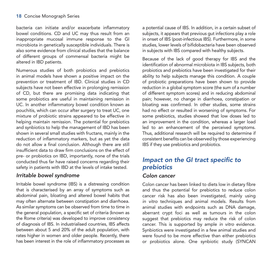bacteria can initiate and/or exacerbate inflammatory bowel conditions. CD and UC may thus result from an inappropriate mucosal immune response to the GI microbiota in genetically susceptible individuals. There is also some evidence from clinical studies that the balance of different groups of commensal bacteria might be altered in IBD patients.

Numerous studies of both probiotics and prebiotics in animal models have shown a positive impact on the prevention or treatment of IBD. Clinical studies in CD subjects have not been effective in prolonging remission of CD, but there are promising data indicating that some probiotics are useful in maintaining remission in UC. In another inflammatory bowel condition known as pouchitis, which can occur after surgery to treat UC, one mixture of probiotic strains appeared to be effective in helping maintain remission. The potential for prebiotics and synbiotics to help the management of IBD has been shown in several small studies with fructans, mainly in the reduction of inflammatory markers, but as yet the data do not allow a final conclusion. Although there are still insufficient data to draw firm conclusions on the effect of pre- or probiotics on IBD, importantly, none of the trials conducted thus far have raised concerns regarding their safety in patients with IBD at the levels of intake tested.

#### *Irritable bowel syndrome*

Irritable bowel syndrome (IBS) is a distressing condition that is characterised by an array of symptoms such as abdominal pain, bloating and altered bowel habits that may often alternate between constipation and diarrhoea. As similar symptoms can be observed from time to time in the general population, a specific set of criteria (known as the Rome criteria) was developed to improve consistency of diagnosis of IBS. In industrialised countries, IBS affects between about 5 and 20% of the adult population, with rates higher in women and older people. Recently, there has been interest in the role of inflammatory processes as

a potential cause of IBS. In addition, in a certain subset of subjects, it appears that previous gut infections play a role in onset of IBS (post-infectious IBS). Furthermore, in some studies, lower levels of bifidobacteria have been observed in subjects with IBS compared with healthy subjects.

Because of the lack of good therapy for IBS and the identification of abnormal microbiota in IBS subjects, both probiotics and prebiotics have been investigated for their ability to help subjects manage this condition. A couple of probiotic preparations have been shown to provide reduction in a global symptom score (the sum of a number of different symptom scores) and in reducing abdominal pain; however, no change in diarrhoea, constipation or bloating was confirmed. In other studies, some strains had no effect or resulted in worsening of symptoms. For some prebiotics, studies showed that low doses led to an improvement in the condition, whereas a larger load led to an enhancement of the perceived symptoms. Thus, additional research will be required to determine if consistent benefits can be observed by those experiencing IBS if they use prebiotics and probiotics.

# *Impact on the GI tract specific to prebiotics*

#### *Colon cancer*

Colon cancer has been linked to diets low in dietary fibre and thus the potential for prebiotics to reduce colon cancer risk has also been investigated, mainly using *in vitro* techniques and animal models. Results from animal studies with endpoints such as DNA damage, aberrant crypt foci as well as tumours in the colon suggest that prebiotics may reduce the risk of colon cancer. This is supported by ample *in vitro* evidence. Synbiotics were investigated in a few animal studies and were found to be more effective than either prebiotics or probiotics alone. One synbiotic study (SYNCAN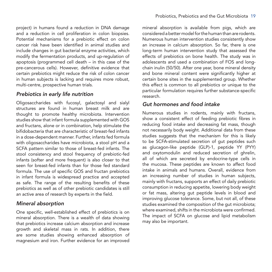project) in humans found a reduction in DNA damage and a reduction in cell proliferation in colon biopsies. Potential mechanisms for a prebiotic effect on colon cancer risk have been identified in animal studies and include changes in gut bacterial enzyme activities, which modify the fermentation products, and up-regulation of apoptosis (programmed cell death – in this case of the pre-cancerous cells). However, definitive evidence that certain prebiotics might reduce the risk of colon cancer in human subjects is lacking and requires more robust, multi-centre, prospective human trials.

#### *Prebiotics in early life nutrition*

Oligosaccharides with fucosyl, galactosyl and sialyl structures are found in human breast milk and are thought to promote healthy microbiota. Intervention studies show that infant formula supplemented with GOS and fructans, alone or in combination, help stimulate the bifidobacteria that are characteristic of breast-fed infants in a dose-dependent manner. Further, infants fed formula with oligosaccharides have microbiota, a stool pH and a SCFA pattern similar to those of breast-fed infants. The stool consistency and stool frequency of prebiotic-fed infants (softer and more frequent) is also closer to that seen for breast-fed infants than for those fed standard formula. The use of specific GOS and fructan prebiotics in infant formula is widespread practice and accepted as safe. The range of the resulting benefits of these prebiotics as well as of other prebiotic candidates is still an active area of research by experts in the field.

#### *Mineral absorption*

One specific, well-established effect of prebiotics is on mineral absorption. There is a wealth of data showing that prebiotics increase calcium absorption and increase growth and skeletal mass in rats. In addition, there are some studies showing enhanced absorption of magnesium and iron. Further evidence for an improved

mineral absorption is available from pigs, which are considered a better model for the human than are rodents. Numerous human intervention studies consistently show an increase in calcium absorption. So far, there is one long-term human intervention study that assessed the effects of prebiotics on bone health. The study was in adolescents and used a combination of FOS and longchain inulin (50/50). After one year, bone mineral density and bone mineral content were significantly higher at certain bone sites in the supplemented group. Whether this effect is common to all prebiotics or unique to the particular formulation requires further substance-specific research.

#### *Gut hormones and food intake*

Numerous studies in rodents, mainly with fructans, show a consistent effect of feeding prebiotic fibres in reducing food intake and decreasing fat mass, though not necessarily body weight. Additional data from these studies suggests that the mechanism for this is likely to be SCFA-stimulated secretion of gut peptides such as glucagon-like peptide (GLP)-1, peptide YY (PYY) and oxytomodulin and reduced secretion of ghrelin, all of which are secreted by endocrine-type cells in the mucosa. These peptides are known to affect food intake in animals and humans. Overall, evidence from an increasing number of studies in human subjects, mainly with fructans, supports an effect of daily prebiotic consumption in reducing appetite, lowering body weight or fat mass, altering gut peptide levels in blood and improving glucose tolerance. Some, but not all, of these studies examined the composition of the gut microbiota; where examined, shifts in the microbiota were confirmed. The impact of SCFA on glucose and lipid metabolism may also be important.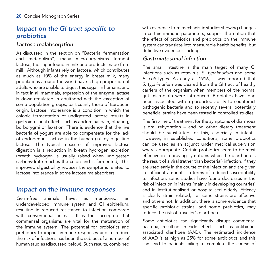### *Impact on the GI tract specific to probiotics*

#### *Lactose malabsorption*

As discussed in the section on "Bacterial fermentation and metabolism", many micro-organisms ferment lactose, the sugar found in milk and products made from milk. Although infants rely on lactose, which contributes as much as 10% of the energy in breast milk, many populations around the world have a high proportion of adults who are unable to digest this sugar. In humans, and in fact in all mammals, expression of the enzyme lactase is down-regulated in adulthood with the exception of some population groups, particularly those of European origin. Lactose intolerance is a condition in which the colonic fermentation of undigested lactose results in gastrointestinal effects such as abdominal pain, bloating, borborygmi or laxation. There is evidence that the live bacteria of yogurt are able to compensate for the lack of endogenous lactase in the human gut by digesting lactose. The typical measure of improved lactose digestion is a reduction in breath hydrogen excretion (breath hydrogen is usually raised when undigested carbohydrate reaches the colon and is fermented). This improved digestibility reduces the symptoms related to lactose intolerance in some lactose malabsorbers.

### *Impact on the immune responses*

Germ-free animals have, as mentioned, an underdeveloped immune system and GI epithelium, resulting in reduced resistance to infection compared with conventional animals. It is thus accepted that commensal organisms are vital for the maturation of the immune system. The potential for probiotics and prebiotics to impact immune responses and to reduce the risk of infections has been the subject of a number of human studies (discussed below). Such results, combined

with evidence from mechanistic studies showing changes in certain immune parameters, support the notion that the effect of probiotics and prebiotics on the immune system can translate into measurable health benefits, but definitive evidence is lacking.

#### *Gastrointestinal infection*

The small intestine is the main target of many GI infections such as rotavirus, *S. typhimurium* and some *E. coli* types. As early as 1916, it was reported that *S. typhimurium* was cleared from the GI tract of healthy carriers of the organism when members of the normal gut microbiota were introduced. Probiotics have long been associated with a purported ability to counteract pathogenic bacteria and so recently several potentially beneficial strains have been tested in controlled studies.

The first-line of treatment for the symptoms of diarrhoea is oral rehydration – and no other dietary treatment should be substituted for this, especially in infants. However, in established conditions, some probiotics can be used as an adjunct under medical supervision where appropriate. Certain probiotics seem to be most effective in improving symptoms when the diarrhoea is the result of a viral (rather than bacterial) infection, if they are used early in the course of the infection and are given in sufficient amounts. In terms of reduced susceptibility to infection, some studies have found decreases in the risk of infection in infants (mainly in developing countries) and in institutionalised or hospitalised elderly. Efficacy is clearly strain related, i.e. some strains are effective and others not. In addition, there is some evidence that specific probiotic strains, and some prebiotics, may reduce the risk of traveller's diarrhoea.

Some antibiotics can significantly disrupt commensal bacteria, resulting in side effects such as antibioticassociated diarrhoea (AAD). The estimated incidence of AAD is as high as 25% for some antibiotics and this can lead to patients failing to complete the course of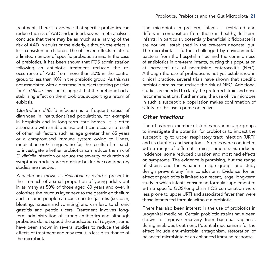treatment. There is evidence that specific probiotics can reduce the risk of AAD and, indeed, several meta-analyses conclude that there may be as much as a halving of the risk of AAD in adults or the elderly, although the effect is less consistent in children. The observed effects relate to a limited number of specific probiotic strains. In the case of prebiotics, it has been shown that FOS administration following an antibiotic treatment reduced the reoccurrence of AAD from more than 30% in the control group to less than 10% in the prebiotic group. As this was not associated with a decrease in subjects testing positive for *C. difficile*, this could suggest that the prebiotic had a stabilising effect on the microbiota, supporting a return of eubiosis.

*Clostridium difficile* infection is a frequent cause of diarrhoea in institutionalised populations, for example in hospitals and in long-term care homes. It is often associated with antibiotic use but it can occur as a result of other risk factors such as age greater than 65 years or a compromised immune system owing to illness, medication or GI surgery. So far, the results of research to investigate whether probiotics can reduce the risk of *C. difficile* infection or reduce the severity or duration of symptoms in adults are promising but further confirmatory studies are needed.

A bacterium known as *Helicobacter pylori* is present in the stomach of a small proportion of young adults but in as many as 50% of those aged 60 years and over. It colonises the mucous layer next to the gastric epithelium and in some people can cause acute gastritis (i.e. pain, bloating, nausea and vomiting) and can lead to chronic gastritis and peptic ulcers. Treatment involves longterm administration of strong antibiotics and although probiotics do not speed the eradication of *H. pylori,* some have been shown in several studies to reduce the side effects of treatment and may result in less disturbance of the microbiota.

The microbiota in pre-term infants is restricted and differs in composition from those in healthy, full-term infants. In particular, potentially beneficial bifidobacteria are not well established in the pre-term neonatal gut. The microbiota is further challenged by environmental bacteria from the hospital milieu and the common use of antibiotics in pre-term infants, putting this population at increased risk of necrotising enterocolitis (NEC). Although the use of probiotics is not yet established in clinical practice, several trials have shown that specific probiotic strains can reduce the risk of NEC. Additional studies are needed to clarify the preferred strain and dose recommendations. Furthermore, the use of live microbes in such a susceptible population makes confirmation of safety for this use a prime objective.

#### *Other infections*

There has been a number of studies on various age groups to investigate the potential for probiotics to impact the susceptibility to upper respiratory tract infection (URTI) and its duration and symptoms. Studies were conducted with a range of different strains; some strains reduced incidence, some reduced duration and most had effects on symptoms. The evidence is promising, but the range of strains and the variation in age groups and study design prevent any firm conclusions. Evidence for an effect of prebiotics is limited to a recent, large, long-term study in which infants consuming formula supplemented with a specific GOS/long-chain FOS combination were less prone to upper URTI and associated fever than were those infants fed formula without a prebiotic.

There has also been interest in the use of probiotics in urogenital medicine. Certain probiotic strains have been shown to improve recovery from bacterial vaginosis during antibiotic treatment. Potential mechanisms for the effect include anti-microbial antagonism, restoration of balanced microbiota or an enhanced immune response.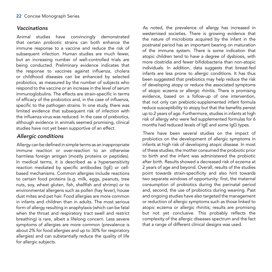#### *Vaccinations*

Animal studies have convincingly demonstrated that certain probiotic strains can both enhance the immune response to a vaccine and reduce the risk of subsequent infection. Human studies are much fewer, but an increasing number of well-controlled trials are being conducted. Preliminary evidence indicates that the response to vaccines against influenza, cholera or childhood diseases can be enhanced by selected probiotics, as measured by the number of subjects who respond to the vaccine or an increase in the level of serum immunoglobulins. The effects are strain-specific in terms of efficacy of the probiotics and, in the case of influenza, specific to the pathogen strains. In one study, there was limited evidence that subsequent risk of infection with the influenza virus was reduced. In the case of prebiotics, although evidence in animals seemed promising, clinical studies have not yet been supportive of an effect.

### *Allergic conditions*

Allergy can be defined in simple terms as an inappropriate immune reaction or over-reaction to an otherwise harmless foreign antigen (mostly proteins or peptides). In medical terms, it is described as a hypersensitivity reaction mediated by specific antibodies (IgE) or cellbased mechanisms. Common allergies include reactions to certain food proteins (e.g. milk, eggs, peanuts, tree nuts, soy, wheat gluten, fish, shellfish and shrimp) or to environmental allergens such as pollen (hay fever), house dust mites and pet hair. Food allergies are more common in infants and children than in adults. The most serious form of allergy resulting in anaphylaxis (which can be fatal when the throat and respiratory tract swell and restrict breathing) is rare, albeit a lifelong concern. Less severe symptoms of allergies are more common (prevalence is about 2% for food allergies and up to 30% for respiratory allergies) and can substantially reduce the quality of life for allergic subjects.

As noted, the prevalence of allergy has increased in westernised societies. There is growing evidence that the nature of microbiota acquired by the infant in the postnatal period has an important bearing on maturation of the immune system. There is some indication that atopic children tend to have a degree of dysbiosis, with more clostridia and fewer bifidobacteria than non-atopic individuals. In addition, data suggests that breast-fed infants are less prone to allergic conditions. It has thus been suggested that prebiotics may help reduce the risk of developing atopy or reduce the associated symptoms of atopic eczema or allergic rhinitis. There is promising evidence, based on a follow-up of one intervention, that not only can prebiotic-supplemented infant formula reduce susceptibility to atopy but that the benefits persist up to 2 years of age. Furthermore, studies in infants at high risk of allergy who were fed supplemented formulas for 6 months had reduced levels of IgE and some IgG types.

There have been several studies on the impact of probiotics on the development of allergic symptoms in infants at high risk of developing atopic disease. In most of these studies, the mother consumed the probiotic prior to birth and the infant was administered the probiotic after birth. Results showed a decreased risk of eczema at 2 years of age and beyond. Overall, results of the studies point towards strain-specificity and also hint towards two separate windows of opportunity: first, the maternal consumption of probiotics during the perinatal period and, second, the use of probiotics during weaning. Past and ongoing studies have also targeted the management or reduction of allergic symptoms such as those linked to atopic eczema or allergic rhinitis; results are promising but not yet conclusive. This probably reflects the complexity of the allergic diseases spectrum and the fact that a range of different clinical designs was used.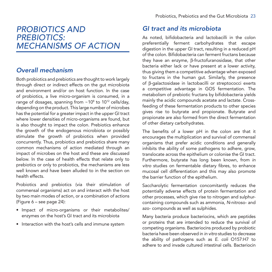# *PROBIOTICS AND PREBIOTICS: MECHANISMS OF ACTION*

# *Overall mechanism*

Both probiotics and prebiotics are thought to work largely through direct or indirect effects on the gut microbiota and environment and/or on host function. In the case of probiotics, a live micro-organism is consumed, in a range of dosages, spanning from  $\sim$  10 $^{\circ}$  to 10 $^{\circ}$  cells/day, depending on the product. This large number of microbes has the potential for a greater impact in the upper GI tract where lower densities of micro-organisms are found, but is also thought to impact the colon. Prebiotics enhance the growth of the endogenous microbiota or possibly stimulate the growth of probiotics when provided concurrently. Thus, probiotics and prebiotics share many common mechanisms of action mediated through an impact of microbes on the host and these are discussed below. In the case of health effects that relate only to prebiotics or only to probiotics, the mechanisms are less well known and have been alluded to in the section on health effects.

Probiotics and prebiotics (via their stimulation of commensal organisms) act on and interact with the host by two main modes of action, or a combination of actions (Figure 6 – see page 24):

- • Impact of micro-organisms or their metabolites/ enzymes on the host's GI tract and its microbiota
- Interaction with the host's cells and immune system

## *GI tract and its microbiota*

As noted, bifidobacteria and lactobacilli in the colon preferentially ferment carbohydrates that escape digestion in the upper GI tract, resulting in a reduced pH of the colon. Bifidobacteria can ferment fructans because they have an enzyme, β-fructofuranosidase, that other bacteria either lack or have present at a lower activity, thus giving them a competitive advantage when exposed to fructans in the human gut. Similarly, the presence of β-galactosidase in lactobacilli or streptococci exerts a competitive advantage in GOS fermentation. The metabolism of prebiotic fructans by bifidobacteria yields mainly the acidic compounds acetate and lactate. Crossfeeding of these fermentation products to other species gives rise to butyrate and propionate. Butyrate and propionate are also formed from the direct fermentation of other dietary carbohydrates.

The benefits of a lower pH in the colon are that it encourages the multiplication and survival of commensal organisms that prefer acidic conditions and generally inhibits the ability of some pathogens to adhere, grow, translocate across the epithelium or colonise the GI tract. Furthermore, butyrate has long been known, from *in vitro* studies on fermentable dietary fibres, to enhance mucosal cell differentiation and this may also promote the barrier function of the epithelium.

Saccharolytic fermentation concomitantly reduces the potentially adverse effects of protein fermentation and other processes, which give rise to nitrogen and sulphurcontaining compounds such as ammonia, *N*-nitroso- and azo- compounds as well as sulphides.

Many bacteria produce bacteriocins, which are peptides or proteins that are intended to reduce the survival of competing organisms. Bacteriocins produced by probiotic bacteria have been observed in *in vitro* studies to decrease the ability of pathogens such as *E. coli* O157:H7 to adhere to and invade cultured intestinal cells. Bacteriocin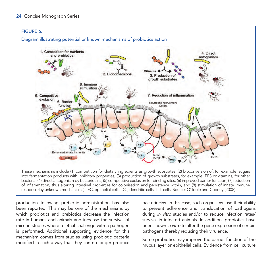

These mechanisms include (1) competition for dietary ingredients as growth substrates, (2) bioconversion of, for example, sugars into fermentation products with inhibitory properties, (3) production of growth substrates, for example, EPS or vitamins, for other bacteria, (4) direct antagonism by bacteriocins, (5) competitive exclusion for binding sites, (6) improved barrier function, (7) reduction of inflammation, thus altering intestinal properties for colonisation and persistence within, and (8) stimulation of innate immune response (by unknown mechanisms). IEC, epithelial cells; DC, dendritic cells; T, T cells. Source: O'Toole and Cooney (2008)

production following prebiotic administration has also been reported. This may be one of the mechanisms by which probiotics and prebiotics decrease the infection rate in humans and animals and increase the survival of mice in studies where a lethal challenge with a pathogen is performed. Additional supporting evidence for this mechanism comes from studies using probiotic bacteria modified in such a way that they can no longer produce

bacteriocins. In this case, such organisms lose their ability to prevent adherence and translocation of pathogens during *in vitro* studies and/or to reduce infection rates/ survival in infected animals. In addition, probiotics have been shown *in vitro* to alter the gene expression of certain pathogens thereby reducing their virulence.

Some probiotics may improve the barrier function of the mucus layer or epithelial cells. Evidence from cell culture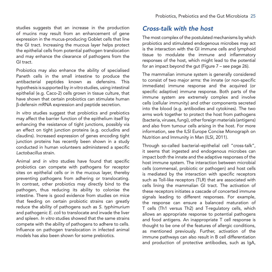studies suggests that an increase in the production of mucins may result from an enhancement of gene expression in the mucus-producing Goblet cells that line the GI tract. Increasing the mucous layer helps protect the epithelial cells from potential pathogen translocation and may enhance the clearance of pathogens from the GI tract.

Probiotics may also enhance the ability of specialised Paneth cells in the small intestine to produce the antibacterial peptides known as defensins. This hypothesis is supported by *in vitro* studies, using intestinal epithelial (e.g. Caco-2) cells grown in tissue culture, that have shown that certain probiotics can stimulate human β-defensin mRNA expression and peptide secretion.

*In vitro* studies suggest that probiotics and prebiotics may affect the barrier function of the epithelium itself by enhancing the resistance of tight junctions, possibly via an effect on tight junction proteins (e.g. occludins and claudins). Increased expression of genes encoding tight junction proteins has recently been shown in a study conducted in human volunteers administered a specific *Lactobacillus* strain.

Animal and *in vitro* studies have found that specific probiotics can compete with pathogens for receptor sites on epithelial cells or in the mucous layer, thereby preventing pathogens from adhering or translocating. In contrast, other probiotics may directly bind to the pathogen, thus reducing its ability to colonise the intestine. There is good evidence from studies on mice that feeding on certain probiotic strains can greatly reduce the ability of pathogens such as *S. typhimurium*  and pathogenic *E. coli* to translocate and invade the liver and spleen. *In vitro* studies showed that the same strains compete with the ability of pathogens to adhere to cells. Influence on pathogen translocation in infected animal models has also been shown for some prebiotics.

### *Cross-talk with the host*

The most complex of the postulated mechanisms by which probiotics and stimulated endogenous microbes may act is the interaction with the GI immune cells and lymphoid tissue to modulate the immune and inflammatory responses of the host, which might lead to the potential for an impact beyond the gut (Figure 7 – see page 26).

The mammalian immune system is generally considered to consist of two major arms: the innate (or non-specific immediate) immune response and the acquired (or specific adaptive) immune response. Both parts of the immune system are extremely complex and involve cells (cellular immunity) and other components secreted into the blood (e.g. antibodies and cytokines). The two arms work together to protect the host from pathogens (bacteria, viruses, fungi), other foreign materials (antigens) and also from tumour cells arising in the host. For more information, see the ILSI Europe Concise Monograph on Nutrition and Immunity in Man (ILSI, 2011).

Through so-called bacterial–epithelial cell "cross-talk", it seems that ingested and endogenous microbes can impact both the innate and the adaptive responses of the host immune system. The interaction between microbial cells (commensal, probiotic or pathogen) and host cells is mediated by the interaction with specific receptors such as Toll-like receptors (TLR) that are associated with cells lining the mammalian GI tract. The activation of these receptors initiates a cascade of concerted immune signals leading to different responses. For example, the response can ensure a balanced maturation of T cells (Th1 versus Th2) and T-regulatory cells, which allows an appropriate response to potential pathogens and food antigens. An inappropriate T cell response is thought to be one of the features of allergic conditions, as mentioned previously. Further, activation of the immune pathways can also result in B cell differentiation and production of protective antibodies, such as IgA,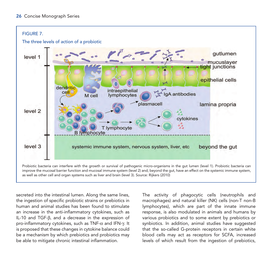

improve the mucosal barrier function and mucosal immune system (level 2) and, beyond the gut, have an effect on the systemic immune system, as well as other cell and organ systems such as liver and brain (level 3). Source: Rijkers (2010)

secreted into the intestinal lumen. Along the same lines, the ingestion of specific probiotic strains or prebiotics in human and animal studies has been found to stimulate an increase in the anti-inflammatory cytokines, such as IL-10 and TGF-β, and a decrease in the expression of pro-inflammatory cytokines, such as TNF-α and IFN-γ. It is proposed that these changes in cytokine balance could be a mechanism by which prebiotics and probiotics may be able to mitigate chronic intestinal inflammation.

The activity of phagocytic cells (neutrophils and macrophages) and natural killer (NK) cells (non-T non-B lymphocytes), which are part of the innate immune response, is also modulated in animals and humans by various probiotics and to some extent by prebiotics or synbiotics. In addition, animal studies have suggested that the so-called G-protein receptors in certain white blood cells may act as receptors for SCFA, increased levels of which result from the ingestion of prebiotics,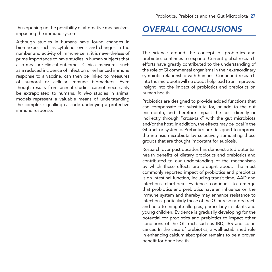thus opening up the possibility of alternative mechanisms impacting the immune system.

Although studies in humans have found changes in biomarkers such as cytokine levels and changes in the number and activity of immune cells, it is nevertheless of prime importance to have studies in human subjects that also measure clinical outcomes. Clinical measures, such as a reduced incidence of infection or enhanced immune response to a vaccine, can then be linked to measures of humoral or cellular immune biomarkers. Even though results from animal studies cannot necessarily be extrapolated to humans, *in vivo* studies in animal models represent a valuable means of understanding the complex signalling cascade underlying a protective immune response.

# *OVERALL CONCLUSIONS*

The science around the concept of probiotics and prebiotics continues to expand. Current global research efforts have greatly contributed to the understanding of the role of GI commensal organisms in their extraordinary symbiotic relationship with humans. Continued research into the microbiota will no doubt help lead to an improved insight into the impact of probiotics and prebiotics on human health.

Probiotics are designed to provide added functions that can compensate for, substitute for, or add to the gut microbiota, and therefore impact the host directly or indirectly through "cross-talk" with the gut microbiota and/or the host. In addition, the effects may be local in the GI tract or systemic. Prebiotics are designed to improve the intrinsic microbiota by selectively stimulating those groups that are thought important for eubiosis.

Research over past decades has demonstrated potential health benefits of dietary probiotics and prebiotics and contributed to our understanding of the mechanisms by which these effects are brought about. The most commonly reported impact of probiotics and prebiotics is on intestinal function, including transit time, AAD and infectious diarrhoea. Evidence continues to emerge that probiotics and prebiotics have an influence on the immune system and thereby may enhance resistance to infections, particularly those of the GI or respiratory tract, and help to mitigate allergies, particularly in infants and young children. Evidence is gradually developing for the potential for probiotics and prebiotics to impact other conditions of the GI tract, such as IBD, IBS and colon cancer. In the case of prebiotics, a well-established role in enhancing calcium absorption remains to be a proven benefit for bone health.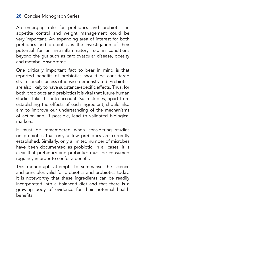#### 28 Concise Monograph Series

An emerging role for prebiotics and probiotics in appetite control and weight management could be very important. An expanding area of interest for both prebiotics and probiotics is the investigation of their potential for an anti-inflammatory role in conditions beyond the gut such as cardiovascular disease, obesity and metabolic syndrome.

One critically important fact to bear in mind is that reported benefits of probiotics should be considered strain-specific unless otherwise demonstrated. Prebiotics are also likely to have substance-specific effects. Thus, for both probiotics and prebiotics it is vital that future human studies take this into account. Such studies, apart from establishing the effects of each ingredient, should also aim to improve our understanding of the mechanisms of action and, if possible, lead to validated biological markers.

It must be remembered when considering studies on prebiotics that only a few prebiotics are currently established. Similarly, only a limited number of microbes have been documented as probiotic. In all cases, it is clear that prebiotics and probiotics must be consumed regularly in order to confer a benefit.

This monograph attempts to summarise the science and principles valid for prebiotics and probiotics today. It is noteworthy that these ingredients can be readily incorporated into a balanced diet and that there is a growing body of evidence for their potential health benefits.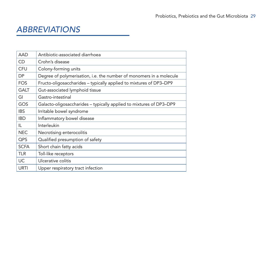# *ABBREVIATIONS*

| <b>AAD</b>  | Antibiotic-associated diarrhoea                                     |
|-------------|---------------------------------------------------------------------|
| CD          | Crohn's disease                                                     |
| <b>CFU</b>  | Colony-forming units                                                |
| DP.         | Degree of polymerisation, i.e. the number of monomers in a molecule |
| <b>FOS</b>  | Fructo-oligosaccharides - typically applied to mixtures of DP3-DP9  |
| <b>GALT</b> | Gut-associated lymphoid tissue                                      |
| GI          | Gastro-intestinal                                                   |
| GOS         | Galacto-oligosaccharides - typically applied to mixtures of DP3-DP9 |
| <b>IBS</b>  | Irritable bowel syndrome                                            |
| <b>IBD</b>  | Inflammatory bowel disease                                          |
| IL          | Interleukin                                                         |
| <b>NEC</b>  | Necrotising enterocolitis                                           |
| <b>QPS</b>  | Qualified presumption of safety                                     |
| <b>SCFA</b> | Short chain fatty acids                                             |
| <b>TLR</b>  | Toll-like receptors                                                 |
| <b>UC</b>   | Ulcerative colitis                                                  |
| URTI        | Upper respiratory tract infection                                   |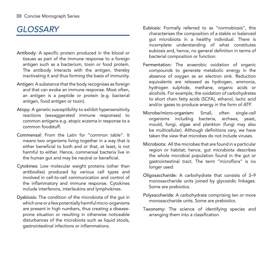# *GLOSSARY*

- Antibody: A specific protein produced in the blood or tissues as part of the immune response to a foreign antigen such as a bacterium, toxin or food protein. The antibody interacts with the antigen, thereby inactivating it and thus forming the basis of immunity.
- Antigen: A substance that the body recognises as foreign and that can evoke an immune response. Most often, an antigen is a peptide or protein (e.g. bacterial antigen, food antigen or toxin).
- Atopy: A genetic susceptibility to exhibit hypersensitivity reactions (eexaggerated immune responses) to common antigens e.g. atopic eczema in response to a common foodstuff.
- Commensal: From the Latin for "common table". It means two organisms living together in a way that is either beneficial to both and or that, at least, is not harmful to either. Hence, commensal bacteria live in the human gut and may be neutral or beneficial.
- Cytokines: Low molecular weight proteins (other than antibodies) produced by various cell types and involved in cell-to-cell communication and control of the inflammatory and immune response. Cytokines include interferons, interleukins and lymphokines.
- Dysbiosis: The condition of the microbiota of the gut in which one or a few potentially harmful micro-organisms are present in high numbers, thus creating a diseaseprone situation or resulting in otherwise noticeable disturbances of the microbiota such as liquid stools. gastrointestinal infections or inflammations.
- Eubiosis: Formally referred to as "normobiosis", this characterises the composition of a stable or balanced gut microbiota in a healthy individual. There is incomplete understanding of what constitutes eubiosis and, hence, no general definition in terms of bacterial composition or function.
- Fermentation: The anaerobic oxidation of organic compounds to generate metabolic energy in the absence of oxygen as an electron sink. Reduction equivalents are released as hydrogen, ammonia, hydrogen sulphide, methane, organic acids or alcohols. For example, the oxidation of carbohydrates to short chain fatty acids (SCFA), ethanol, lactic acid and/or gases to produce energy in the form of ATP.
- Microbe/micro-organism: Small, often single-cell organisms including bacteria, archaea, yeast, mould, fungi, algae and plankton (fungi may also be multicellular). Although definitions vary, we have taken the view that microbes do not include viruses.
- Microbiota: All the microbes that are found in a particular region or habitat; hence, gut microbiota describes the whole microbial population found in the gut or gastrointestinal tract. The term "microflora" is no longer used.
- Oligosaccharide: A carbohydrate that consists of 3–9 monosaccharide units joined by glycosidic linkages. Some are prebiotics.
- Polysaccharide: A carbohydrate comprising ten or more monosaccharide units. Some are prebiotics.
- Taxonomy: The science of identifying species and arranging them into a classification.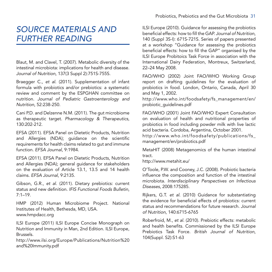# *SOURCE MATERIALS AND FURTHER READING*

Blaut, M. and Clavel, T. (2007). Metabolic diversity of the intestinal microbiota: implications for health and disease. *Journal of Nutrition,* 137(3 Suppl 2):751S-755S.

Braegger C., *et al*. (2011). Supplementation of infant formula with probiotics and/or prebiotics: a systematic review and comment by the ESPGHAN committee on nutrition. *Journal of Pediatric Gastroenterology and Nutrition*, 52:238-250.

Cani P.D. and Delzenne N.M. (2011). The gut microbiome as therapeutic target. *Pharmacology & Therapeutics*, 130:202-212.

EFSA (2011). EFSA Panel on Dietetic Products, Nutrition and Allergies (NDA); guidance on the scientific requirements for health claims related to gut and immune function. *EFSA Journal*, 9:1984.

EFSA (2011). EFSA Panel on Dietetic Products, Nutrition and Allergies (NDA); general guidance for stakeholders on the evaluation of Article 13.1, 13.5 and 14 health claims. *EFSA Journal*, 9:2135.

Gibson, G.R., *et al*. (2011). Dietary prebiotics: current status and new definition. *IFIS Functional Foods Bulletin*, 7:1–19.

HMP (2012) Human Microbiome Project. National Institutes of Health, Bethesda, MD, USA. www.hmpdacc.org

ILSI Europe (2011) ILSI Europe Concise Monograph on Nutrition and Immunity in Man, 2nd Edition. ILSI Europe, Brussels.

http://www.ilsi.org/Europe/Publications/Nutrition%20 and%20Immunity.pdf

ILSI Europe (2010). Guidance for assessing the probiotics beneficial effects: how to fill the GAP. *Journal of Nutrition*, 140 (Suppl 3S-I): 671S-721S. Series of papers presented at a workshop "Guidance for assessing the probiotics beneficial effects: how to fill the GAP" organised by the ILSI Europe Probitoics Task Force in association with the International Dairy Federation, Montreux, Switzerland, 22–24 May 2008.

FAO/WHO (2002) Joint FAO/WHO Working Group report on drafting guidelines for the evaluation of probiotics in food. London, Ontario, Canada, April 30 and May 1, 2002.

http://www.who.int/foodsafety/fs\_management/en/ probiotic\_guidelines.pdf

FAO/WHO (2001) Joint FAO/WHO Expert Consultation on evaluation of health and nutritional properties of probiotics in food including powder milk with live lactic acid bacteria. Cordoba, Argentina, October 2001.

http://www.who.int/foodsafety/publications/fs\_ management/en/probiotics.pdf

MetaHIT (2008) Metagenomics of the human intestinal tract.

http://www.metahit.eu/

O'Toole, P.W. and Cooney, J.C. (2008). Probiotic bacteria influence the composition and function of the intestinal microbiota. *Interdisciplinary Perspectives on Infectious Diseases*, 2008:175285.

Rijkers, G.T. *et al*. (2010) Guidance for substantiating the evidence for beneficial effects of probiotics: current status and recommendations for future research. *Journal of Nutrition*, 140:6715-6765

Roberfroid, M., *et al*. (2010). Prebiotic effects: metabolic and health benefits. Commissioned by the ILSI Europe Prebiotics Task Force. *British Journal of Nutrition*, 104(Suppl. S2):S1-63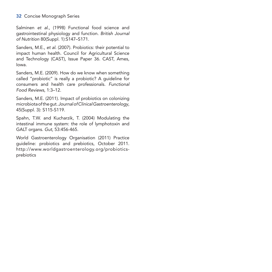#### 32 Concise Monograph Series

Salminen *et al*., (1998) Functional food science and gastrointestinal physiology and function. *British Journal of Nutrition* 80(Suppl. 1):S147–S171.

Sanders, M.E., *et al*. (2007). Probiotics: their potential to impact human health. Council for Agricultural Science and Technology (CAST), Issue Paper 36. CAST, Ames, Iowa.

Sanders, M.E. (2009). How do we know when something called "probiotic" is really a probiotic? A guideline for consumers and health care professionals. *Functional Food Reviews*, 1:3–12.

Sanders, M.E. (2011). Impact of probiotics on colonizing microbiota of the gut. *Journal of Clinical Gastroenterology*, 45(Suppl. 3): S115-S119.

Spahn, T.W. and Kucharzik, T. (2004) Modulating the intestinal immune system: the role of lymphotoxin and GALT organs. *Gut*, 53:456-465.

World Gastroenterology Organisation (2011) Practice guideline: probiotics and prebiotics, October 2011. http://www.worldgastroenterology.org/probioticsprebiotics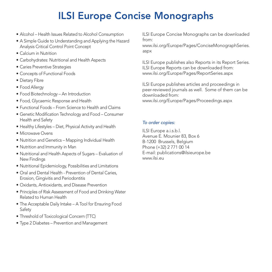# ILSI Europe Concise Monographs

- Alcohol Health Issues Related to Alcohol Consumption
- A Simple Guide to Understanding and Applying the Hazard Analysis Critical Control Point Concept
- Calcium in Nutrition
- Carbohydrates: Nutritional and Health Aspects
- Caries Preventive Strategies
- Concepts of Functional Foods
- Dietary Fibre
- Food Allergy
- Food Biotechnology An Introduction
- Food, Glycaemic Response and Health
- Functional Foods From Science to Health and Claims
- Genetic Modification Technology and Food Consumer Health and Safety
- Healthy Lifestyles Diet, Physical Activity and Health
- Microwave Ovens
- Nutrition and Genetics Mapping Individual Health
- Nutrition and Immunity in Man
- Nutritional and Health Aspects of Sugars Evaluation of New Findings
- Nutritional Epidemiology, Possibilities and Limitations
- Oral and Dental Health Prevention of Dental Caries, Erosion, Gingivitis and Periodontitis
- • Oxidants, Antioxidants, and Disease Prevention
- Principles of Risk Assessment of Food and Drinking Water Related to Human Health
- The Acceptable Daily Intake A Tool for Ensuring Food Safety
- Threshold of Toxicological Concern (TTC)
- Type 2 Diabetes Prevention and Management

ILSI Europe Concise Monographs can be downloaded from:

www.ilsi.org/Europe/Pages/ConciseMonographSeries. aspx

ILSI Europe publishes also Reports in its Report Series. ILSI Europe Reports can be downloaded from: www.ilsi.org/Europe/Pages/ReportSeries.aspx

ILSI Europe publishes articles and proceedings in peer-reviewed journals as well. Some of them can be downloaded from: www.ilsi.org/Europe/Pages/Proceedings.aspx

#### *To order copies:*

ILSI Europe a.i.s.b.l. Avenue E. Mounier 83, Box 6 B-1200 Brussels, Belgium Phone (+32) 2 771 00 14 E-mail: publications@ilsieurope.be www.ilsi.eu